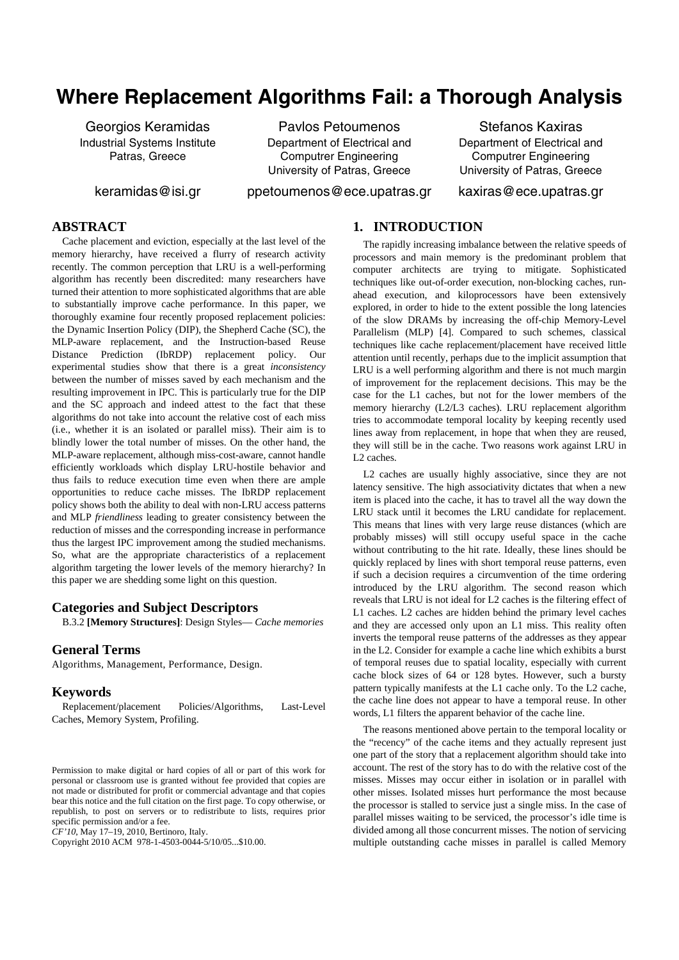# **Where Replacement Algorithms Fail: a Thorough Analysis**

Georgios Keramidas Industrial Systems Institute Patras, Greece

Pavlos Petoumenos Department of Electrical and Computrer Engineering University of Patras, Greece

keramidas@isi.gr

ppetoumenos@ece.upatras.gr

Stefanos Kaxiras Department of Electrical and Computrer Engineering University of Patras, Greece

kaxiras@ece.upatras.gr

## **ABSTRACT**

Cache placement and eviction, especially at the last level of the memory hierarchy, have received a flurry of research activity recently. The common perception that LRU is a well-performing algorithm has recently been discredited: many researchers have turned their attention to more sophisticated algorithms that are able to substantially improve cache performance. In this paper, we thoroughly examine four recently proposed replacement policies: the Dynamic Insertion Policy (DIP), the Shepherd Cache (SC), the MLP-aware replacement, and the Instruction-based Reuse Distance Prediction (IbRDP) replacement policy. Our experimental studies show that there is a great *inconsistency* between the number of misses saved by each mechanism and the resulting improvement in IPC. This is particularly true for the DIP and the SC approach and indeed attest to the fact that these algorithms do not take into account the relative cost of each miss (i.e., whether it is an isolated or parallel miss). Their aim is to blindly lower the total number of misses. On the other hand, the MLP-aware replacement, although miss-cost-aware, cannot handle efficiently workloads which display LRU-hostile behavior and thus fails to reduce execution time even when there are ample opportunities to reduce cache misses. The IbRDP replacement policy shows both the ability to deal with non-LRU access patterns and MLP *friendliness* leading to greater consistency between the reduction of misses and the corresponding increase in performance thus the largest IPC improvement among the studied mechanisms. So, what are the appropriate characteristics of a replacement algorithm targeting the lower levels of the memory hierarchy? In this paper we are shedding some light on this question.

#### **Categories and Subject Descriptors**

B.3.2 **[Memory Structures]**: Design Styles— *Cache memories*

#### **General Terms**

Algorithms, Management, Performance, Design.

## **Keywords**

Replacement/placement Policies/Algorithms, Last-Level Caches, Memory System, Profiling.

*CF'10*, May 17–19, 2010, Bertinoro, Italy.

Copyright 2010 ACM 978-1-4503-0044-5/10/05...\$10.00.

## **1. INTRODUCTION**

The rapidly increasing imbalance between the relative speeds of processors and main memory is the predominant problem that computer architects are trying to mitigate. Sophisticated techniques like out-of-order execution, non-blocking caches, runahead execution, and kiloprocessors have been extensively explored, in order to hide to the extent possible the long latencies of the slow DRAMs by increasing the off-chip Memory-Level Parallelism (MLP) [4]. Compared to such schemes, classical techniques like cache replacement/placement have received little attention until recently, perhaps due to the implicit assumption that LRU is a well performing algorithm and there is not much margin of improvement for the replacement decisions. This may be the case for the L1 caches, but not for the lower members of the memory hierarchy (L2/L3 caches). LRU replacement algorithm tries to accommodate temporal locality by keeping recently used lines away from replacement, in hope that when they are reused, they will still be in the cache. Two reasons work against LRU in L2 caches.

L2 caches are usually highly associative, since they are not latency sensitive. The high associativity dictates that when a new item is placed into the cache, it has to travel all the way down the LRU stack until it becomes the LRU candidate for replacement. This means that lines with very large reuse distances (which are probably misses) will still occupy useful space in the cache without contributing to the hit rate. Ideally, these lines should be quickly replaced by lines with short temporal reuse patterns, even if such a decision requires a circumvention of the time ordering introduced by the LRU algorithm. The second reason which reveals that LRU is not ideal for L2 caches is the filtering effect of L1 caches. L2 caches are hidden behind the primary level caches and they are accessed only upon an L1 miss. This reality often inverts the temporal reuse patterns of the addresses as they appear in the L2. Consider for example a cache line which exhibits a burst of temporal reuses due to spatial locality, especially with current cache block sizes of 64 or 128 bytes. However, such a bursty pattern typically manifests at the L1 cache only. To the L2 cache, the cache line does not appear to have a temporal reuse. In other words, L1 filters the apparent behavior of the cache line.

The reasons mentioned above pertain to the temporal locality or the "recency" of the cache items and they actually represent just one part of the story that a replacement algorithm should take into account. The rest of the story has to do with the relative cost of the misses. Misses may occur either in isolation or in parallel with other misses. Isolated misses hurt performance the most because the processor is stalled to service just a single miss. In the case of parallel misses waiting to be serviced, the processor's idle time is divided among all those concurrent misses. The notion of servicing multiple outstanding cache misses in parallel is called Memory

Permission to make digital or hard copies of all or part of this work for personal or classroom use is granted without fee provided that copies are not made or distributed for profit or commercial advantage and that copies bear this notice and the full citation on the first page. To copy otherwise, or republish, to post on servers or to redistribute to lists, requires prior specific permission and/or a fee.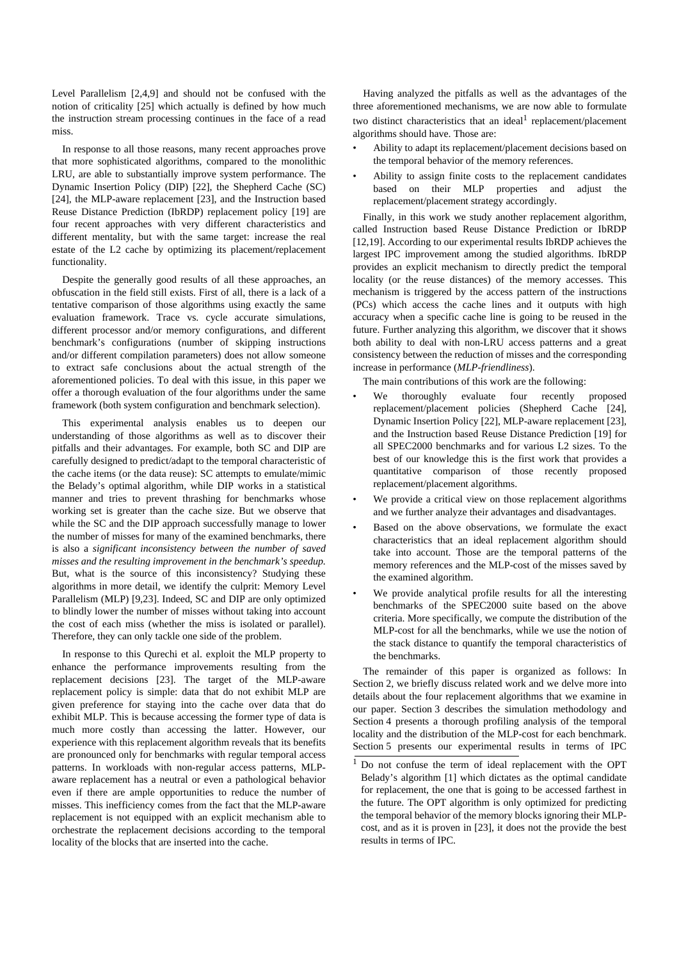Level Parallelism [2,4,9] and should not be confused with the notion of criticality [25] which actually is defined by how much the instruction stream processing continues in the face of a read miss.

In response to all those reasons, many recent approaches prove that more sophisticated algorithms, compared to the monolithic LRU, are able to substantially improve system performance. The Dynamic Insertion Policy (DIP) [22], the Shepherd Cache (SC) [24], the MLP-aware replacement [23], and the Instruction based Reuse Distance Prediction (IbRDP) replacement policy [19] are four recent approaches with very different characteristics and different mentality, but with the same target: increase the real estate of the L2 cache by optimizing its placement/replacement functionality.

Despite the generally good results of all these approaches, an obfuscation in the field still exists. First of all, there is a lack of a tentative comparison of those algorithms using exactly the same evaluation framework. Trace vs. cycle accurate simulations, different processor and/or memory configurations, and different benchmark's configurations (number of skipping instructions and/or different compilation parameters) does not allow someone to extract safe conclusions about the actual strength of the aforementioned policies. To deal with this issue, in this paper we offer a thorough evaluation of the four algorithms under the same framework (both system configuration and benchmark selection).

This experimental analysis enables us to deepen our understanding of those algorithms as well as to discover their pitfalls and their advantages. For example, both SC and DIP are carefully designed to predict/adapt to the temporal characteristic of the cache items (or the data reuse): SC attempts to emulate/mimic the Belady's optimal algorithm, while DIP works in a statistical manner and tries to prevent thrashing for benchmarks whose working set is greater than the cache size. But we observe that while the SC and the DIP approach successfully manage to lower the number of misses for many of the examined benchmarks, there is also a *significant inconsistency between the number of saved misses and the resulting improvement in the benchmark's speedup.* But, what is the source of this inconsistency? Studying these algorithms in more detail, we identify the culprit: Memory Level Parallelism (MLP) [9,23]. Indeed, SC and DIP are only optimized to blindly lower the number of misses without taking into account the cost of each miss (whether the miss is isolated or parallel). Therefore, they can only tackle one side of the problem.

In response to this Qurechi et al. exploit the MLP property to enhance the performance improvements resulting from the replacement decisions [23]. The target of the MLP-aware replacement policy is simple: data that do not exhibit MLP are given preference for staying into the cache over data that do exhibit MLP. This is because accessing the former type of data is much more costly than accessing the latter. However, our experience with this replacement algorithm reveals that its benefits are pronounced only for benchmarks with regular temporal access patterns. In workloads with non-regular access patterns, MLPaware replacement has a neutral or even a pathological behavior even if there are ample opportunities to reduce the number of misses. This inefficiency comes from the fact that the MLP-aware replacement is not equipped with an explicit mechanism able to orchestrate the replacement decisions according to the temporal locality of the blocks that are inserted into the cache.

Having analyzed the pitfalls as well as the advantages of the three aforementioned mechanisms, we are now able to formulate two distinct characteristics that an ideal<sup>1</sup> replacement/placement algorithms should have. Those are:

- Ability to adapt its replacement/placement decisions based on the temporal behavior of the memory references.
- Ability to assign finite costs to the replacement candidates based on their MLP properties and adjust the replacement/placement strategy accordingly.

Finally, in this work we study another replacement algorithm, called Instruction based Reuse Distance Prediction or IbRDP [12,19]. According to our experimental results IbRDP achieves the largest IPC improvement among the studied algorithms. IbRDP provides an explicit mechanism to directly predict the temporal locality (or the reuse distances) of the memory accesses. This mechanism is triggered by the access pattern of the instructions (PCs) which access the cache lines and it outputs with high accuracy when a specific cache line is going to be reused in the future. Further analyzing this algorithm, we discover that it shows both ability to deal with non-LRU access patterns and a great consistency between the reduction of misses and the corresponding increase in performance (*MLP-friendliness*).

The main contributions of this work are the following:

- We thoroughly evaluate four recently proposed replacement/placement policies (Shepherd Cache [24], Dynamic Insertion Policy [22], MLP-aware replacement [23], and the Instruction based Reuse Distance Prediction [19] for all SPEC2000 benchmarks and for various L2 sizes. To the best of our knowledge this is the first work that provides a quantitative comparison of those recently proposed replacement/placement algorithms.
- We provide a critical view on those replacement algorithms and we further analyze their advantages and disadvantages.
- Based on the above observations, we formulate the exact characteristics that an ideal replacement algorithm should take into account. Those are the temporal patterns of the memory references and the MLP-cost of the misses saved by the examined algorithm.
- We provide analytical profile results for all the interesting benchmarks of the SPEC2000 suite based on the above criteria. More specifically, we compute the distribution of the MLP-cost for all the benchmarks, while we use the notion of the stack distance to quantify the temporal characteristics of the benchmarks.

The remainder of this paper is organized as follows: In Section 2, we briefly discuss related work and we delve more into details about the four replacement algorithms that we examine in our paper. Section 3 describes the simulation methodology and Section 4 presents a thorough profiling analysis of the temporal locality and the distribution of the MLP-cost for each benchmark. Section 5 presents our experimental results in terms of IPC

<sup>1</sup> Do not confuse the term of ideal replacement with the OPT Belady's algorithm [1] which dictates as the optimal candidate for replacement, the one that is going to be accessed farthest in the future. The OPT algorithm is only optimized for predicting the temporal behavior of the memory blocks ignoring their MLPcost, and as it is proven in [23], it does not the provide the best results in terms of IPC.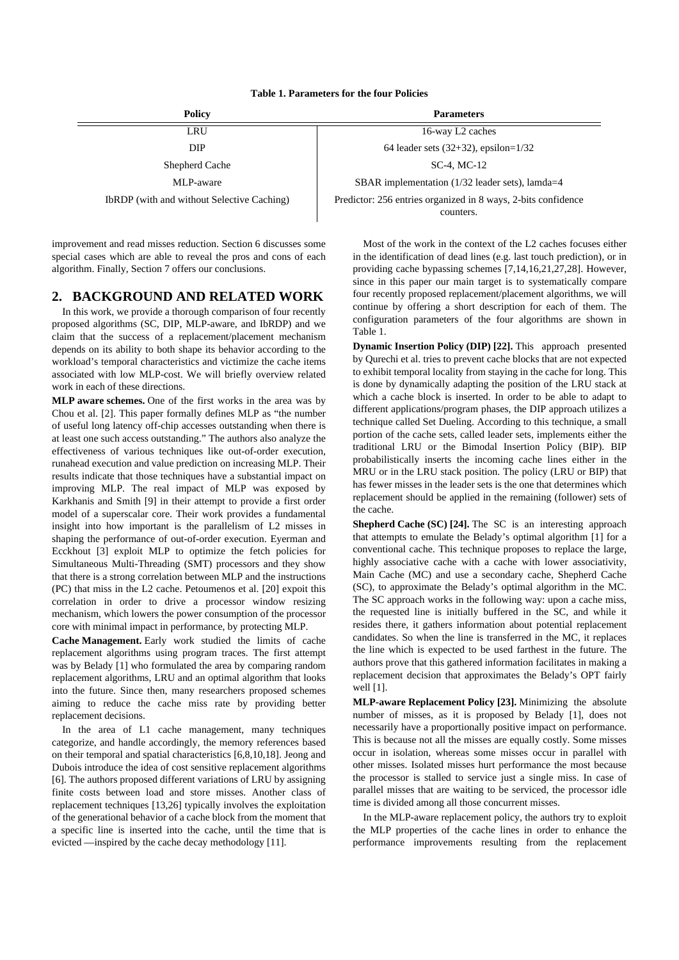|  |  | <b>Table 1. Parameters for the four Policies</b> |  |  |  |
|--|--|--------------------------------------------------|--|--|--|
|--|--|--------------------------------------------------|--|--|--|

| <b>Policy</b>                                     | <b>Parameters</b>                                                          |  |  |
|---------------------------------------------------|----------------------------------------------------------------------------|--|--|
| LRU                                               | 16-way L2 caches                                                           |  |  |
| <b>DIP</b>                                        | 64 leader sets $(32+32)$ , epsilon= $1/32$                                 |  |  |
| Shepherd Cache                                    | SC-4, MC-12                                                                |  |  |
| MLP-aware                                         | SBAR implementation (1/32 leader sets), lamda=4                            |  |  |
| <b>IbRDP</b> (with and without Selective Caching) | Predictor: 256 entries organized in 8 ways, 2-bits confidence<br>counters. |  |  |

improvement and read misses reduction. Section 6 discusses some special cases which are able to reveal the pros and cons of each algorithm. Finally, Section 7 offers our conclusions.

#### **2. BACKGROUND AND RELATED WORK**

In this work, we provide a thorough comparison of four recently proposed algorithms (SC, DIP, MLP-aware, and IbRDP) and we claim that the success of a replacement/placement mechanism depends on its ability to both shape its behavior according to the workload's temporal characteristics and victimize the cache items associated with low MLP-cost. We will briefly overview related work in each of these directions.

**MLP aware schemes.** One of the first works in the area was by Chou et al. [2]. This paper formally defines MLP as "the number of useful long latency off-chip accesses outstanding when there is at least one such access outstanding." The authors also analyze the effectiveness of various techniques like out-of-order execution, runahead execution and value prediction on increasing MLP. Their results indicate that those techniques have a substantial impact on improving MLP. The real impact of MLP was exposed by Karkhanis and Smith [9] in their attempt to provide a first order model of a superscalar core. Their work provides a fundamental insight into how important is the parallelism of L2 misses in shaping the performance of out-of-order execution. Eyerman and Ecckhout [3] exploit MLP to optimize the fetch policies for Simultaneous Multi-Threading (SMT) processors and they show that there is a strong correlation between MLP and the instructions (PC) that miss in the L2 cache. Petoumenos et al. [20] expoit this correlation in order to drive a processor window resizing mechanism, which lowers the power consumption of the processor core with minimal impact in performance, by protecting MLP.

**Cache Management.** Early work studied the limits of cache replacement algorithms using program traces. The first attempt was by Belady [1] who formulated the area by comparing random replacement algorithms, LRU and an optimal algorithm that looks into the future. Since then, many researchers proposed schemes aiming to reduce the cache miss rate by providing better replacement decisions.

In the area of L1 cache management, many techniques categorize, and handle accordingly, the memory references based on their temporal and spatial characteristics [6,8,10,18]. Jeong and Dubois introduce the idea of cost sensitive replacement algorithms [6]. The authors proposed different variations of LRU by assigning finite costs between load and store misses. Another class of replacement techniques [13,26] typically involves the exploitation of the generational behavior of a cache block from the moment that a specific line is inserted into the cache, until the time that is evicted —inspired by the cache decay methodology [11].

Most of the work in the context of the L2 caches focuses either in the identification of dead lines (e.g. last touch prediction), or in providing cache bypassing schemes [7,14,16,21,27,28]. However, since in this paper our main target is to systematically compare four recently proposed replacement/placement algorithms, we will continue by offering a short description for each of them. The configuration parameters of the four algorithms are shown in Table 1.

**Dynamic Insertion Policy (DIP) [22].** This approach presented by Qurechi et al. tries to prevent cache blocks that are not expected to exhibit temporal locality from staying in the cache for long. This is done by dynamically adapting the position of the LRU stack at which a cache block is inserted. In order to be able to adapt to different applications/program phases, the DIP approach utilizes a technique called Set Dueling. According to this technique, a small portion of the cache sets, called leader sets, implements either the traditional LRU or the Bimodal Insertion Policy (BIP). BIP probabilistically inserts the incoming cache lines either in the MRU or in the LRU stack position. The policy (LRU or BIP) that has fewer misses in the leader sets is the one that determines which replacement should be applied in the remaining (follower) sets of the cache.

**Shepherd Cache (SC) [24].** The SC is an interesting approach that attempts to emulate the Belady's optimal algorithm [1] for a conventional cache. This technique proposes to replace the large, highly associative cache with a cache with lower associativity, Main Cache (MC) and use a secondary cache, Shepherd Cache (SC), to approximate the Belady's optimal algorithm in the MC. The SC approach works in the following way: upon a cache miss, the requested line is initially buffered in the SC, and while it resides there, it gathers information about potential replacement candidates. So when the line is transferred in the MC, it replaces the line which is expected to be used farthest in the future. The authors prove that this gathered information facilitates in making a replacement decision that approximates the Belady's OPT fairly well [1].

**MLP-aware Replacement Policy [23].** Minimizing the absolute number of misses, as it is proposed by Belady [1], does not necessarily have a proportionally positive impact on performance. This is because not all the misses are equally costly. Some misses occur in isolation, whereas some misses occur in parallel with other misses. Isolated misses hurt performance the most because the processor is stalled to service just a single miss. In case of parallel misses that are waiting to be serviced, the processor idle time is divided among all those concurrent misses.

In the MLP-aware replacement policy, the authors try to exploit the MLP properties of the cache lines in order to enhance the performance improvements resulting from the replacement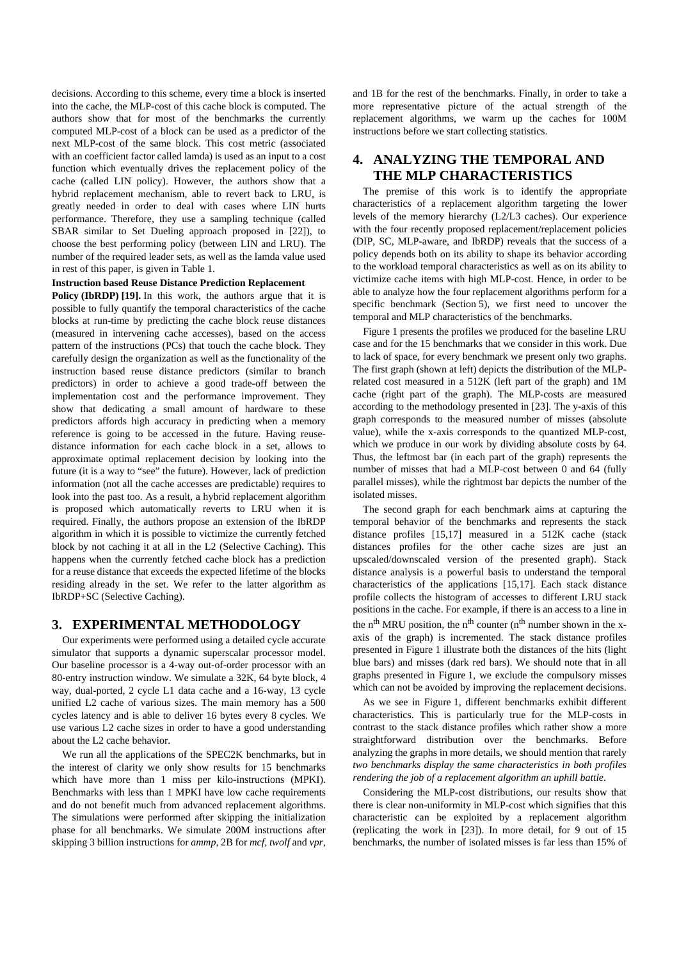decisions. According to this scheme, every time a block is inserted into the cache, the MLP-cost of this cache block is computed. The authors show that for most of the benchmarks the currently computed MLP-cost of a block can be used as a predictor of the next MLP-cost of the same block. This cost metric (associated with an coefficient factor called lamda) is used as an input to a cost function which eventually drives the replacement policy of the cache (called LIN policy). However, the authors show that a hybrid replacement mechanism, able to revert back to LRU, is greatly needed in order to deal with cases where LIN hurts performance. Therefore, they use a sampling technique (called SBAR similar to Set Dueling approach proposed in [22]), to choose the best performing policy (between LIN and LRU). The number of the required leader sets, as well as the lamda value used in rest of this paper, is given in Table 1.

#### **Instruction based Reuse Distance Prediction Replacement**

**Policy (IbRDP) [19].** In this work, the authors argue that it is possible to fully quantify the temporal characteristics of the cache blocks at run-time by predicting the cache block reuse distances (measured in intervening cache accesses), based on the access pattern of the instructions (PCs) that touch the cache block. They carefully design the organization as well as the functionality of the instruction based reuse distance predictors (similar to branch predictors) in order to achieve a good trade-off between the implementation cost and the performance improvement. They show that dedicating a small amount of hardware to these predictors affords high accuracy in predicting when a memory reference is going to be accessed in the future. Having reusedistance information for each cache block in a set, allows to approximate optimal replacement decision by looking into the future (it is a way to "see" the future). However, lack of prediction information (not all the cache accesses are predictable) requires to look into the past too. As a result, a hybrid replacement algorithm is proposed which automatically reverts to LRU when it is required. Finally, the authors propose an extension of the IbRDP algorithm in which it is possible to victimize the currently fetched block by not caching it at all in the L2 (Selective Caching). This happens when the currently fetched cache block has a prediction for a reuse distance that exceeds the expected lifetime of the blocks residing already in the set. We refer to the latter algorithm as IbRDP+SC (Selective Caching).

#### **3. EXPERIMENTAL METHODOLOGY**

Our experiments were performed using a detailed cycle accurate simulator that supports a dynamic superscalar processor model. Our baseline processor is a 4-way out-of-order processor with an 80-entry instruction window. We simulate a 32K, 64 byte block, 4 way, dual-ported, 2 cycle L1 data cache and a 16-way, 13 cycle unified L2 cache of various sizes. The main memory has a 500 cycles latency and is able to deliver 16 bytes every 8 cycles. We use various L2 cache sizes in order to have a good understanding about the L2 cache behavior.

We run all the applications of the SPEC2K benchmarks, but in the interest of clarity we only show results for 15 benchmarks which have more than 1 miss per kilo-instructions (MPKI). Benchmarks with less than 1 MPKI have low cache requirements and do not benefit much from advanced replacement algorithms. The simulations were performed after skipping the initialization phase for all benchmarks. We simulate 200M instructions after skipping 3 billion instructions for *ammp,* 2B for *mcf, twolf* and *vpr*, and 1B for the rest of the benchmarks. Finally, in order to take a more representative picture of the actual strength of the replacement algorithms, we warm up the caches for 100M instructions before we start collecting statistics.

# **4. ANALYZING THE TEMPORAL AND THE MLP CHARACTERISTICS**

The premise of this work is to identify the appropriate characteristics of a replacement algorithm targeting the lower levels of the memory hierarchy (L2/L3 caches). Our experience with the four recently proposed replacement/replacement policies (DIP, SC, MLP-aware, and IbRDP) reveals that the success of a policy depends both on its ability to shape its behavior according to the workload temporal characteristics as well as on its ability to victimize cache items with high MLP-cost. Hence, in order to be able to analyze how the four replacement algorithms perform for a specific benchmark (Section 5), we first need to uncover the temporal and MLP characteristics of the benchmarks.

Figure 1 presents the profiles we produced for the baseline LRU case and for the 15 benchmarks that we consider in this work. Due to lack of space, for every benchmark we present only two graphs. The first graph (shown at left) depicts the distribution of the MLPrelated cost measured in a 512K (left part of the graph) and 1M cache (right part of the graph). The MLP-costs are measured according to the methodology presented in [23]. The y-axis of this graph corresponds to the measured number of misses (absolute value), while the x-axis corresponds to the quantized MLP-cost, which we produce in our work by dividing absolute costs by 64. Thus, the leftmost bar (in each part of the graph) represents the number of misses that had a MLP-cost between 0 and 64 (fully parallel misses), while the rightmost bar depicts the number of the isolated misses.

The second graph for each benchmark aims at capturing the temporal behavior of the benchmarks and represents the stack distance profiles [15,17] measured in a 512K cache (stack distances profiles for the other cache sizes are just an upscaled/downscaled version of the presented graph). Stack distance analysis is a powerful basis to understand the temporal characteristics of the applications [15,17]. Each stack distance profile collects the histogram of accesses to different LRU stack positions in the cache. For example, if there is an access to a line in the  $n^{th}$  MRU position, the  $n^{th}$  counter ( $n^{th}$  number shown in the xaxis of the graph) is incremented. The stack distance profiles presented in Figure 1 illustrate both the distances of the hits (light blue bars) and misses (dark red bars). We should note that in all graphs presented in Figure 1, we exclude the compulsory misses which can not be avoided by improving the replacement decisions.

As we see in Figure 1, different benchmarks exhibit different characteristics. This is particularly true for the MLP-costs in contrast to the stack distance profiles which rather show a more straightforward distribution over the benchmarks. Before analyzing the graphs in more details, we should mention that rarely *two benchmarks display the same characteristics in both profiles rendering the job of a replacement algorithm an uphill battle*.

Considering the MLP-cost distributions, our results show that there is clear non-uniformity in MLP-cost which signifies that this characteristic can be exploited by a replacement algorithm (replicating the work in [23]). In more detail, for 9 out of 15 benchmarks, the number of isolated misses is far less than 15% of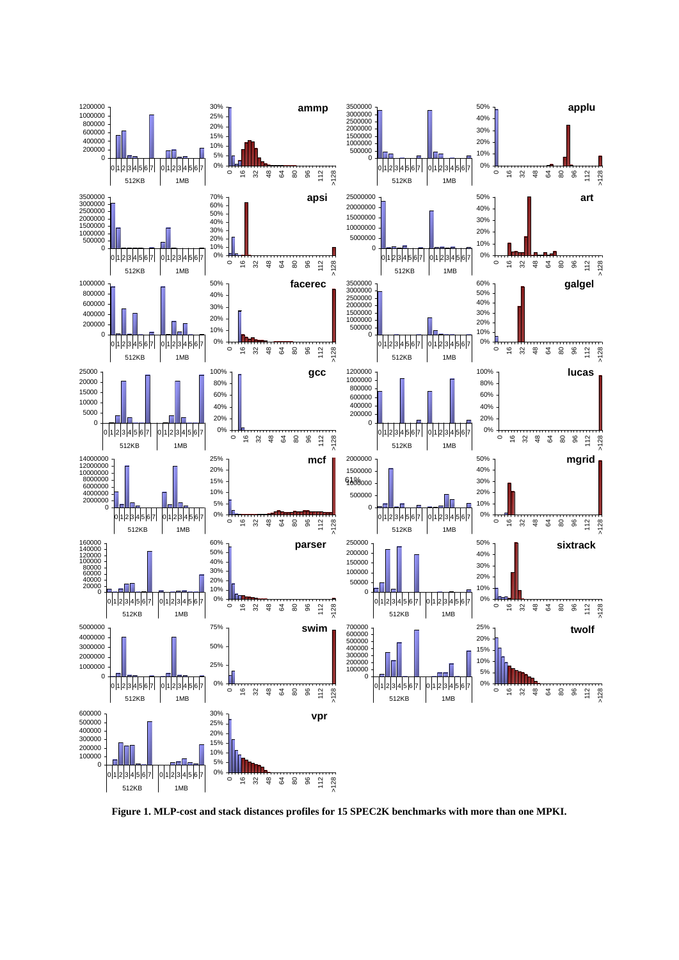

**Figure 1. MLP-cost and stack distances profiles for 15 SPEC2K benchmarks with more than one MPKI.**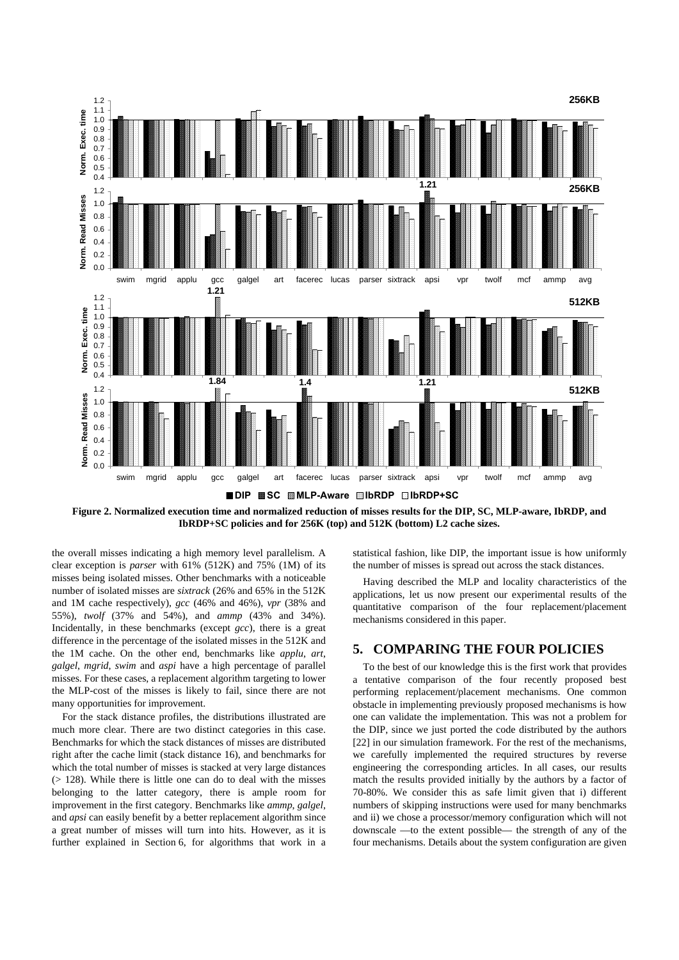

**Figure 2. Normalized execution time and normalized reduction of misses results for the DIP, SC, MLP-aware, IbRDP, and IbRDP+SC policies and for 256K (top) and 512K (bottom) L2 cache sizes.**

the overall misses indicating a high memory level parallelism. A clear exception is *parser* with 61% (512K) and 75% (1M) of its misses being isolated misses. Other benchmarks with a noticeable number of isolated misses are *sixtrack* (26% and 65% in the 512K and 1M cache respectively), *gcc* (46% and 46%), *vpr* (38% and 55%), *twolf* (37% and 54%), and *ammp* (43% and 34%). Incidentally, in these benchmarks (except *gcc*), there is a great difference in the percentage of the isolated misses in the 512K and the 1M cache. On the other end, benchmarks like *applu*, *art*, *galgel*, *mgrid*, *swim* and *aspi* have a high percentage of parallel misses. For these cases, a replacement algorithm targeting to lower the MLP-cost of the misses is likely to fail, since there are not many opportunities for improvement.

For the stack distance profiles, the distributions illustrated are much more clear. There are two distinct categories in this case. Benchmarks for which the stack distances of misses are distributed right after the cache limit (stack distance 16), and benchmarks for which the total number of misses is stacked at very large distances  $($  > 128). While there is little one can do to deal with the misses belonging to the latter category, there is ample room for improvement in the first category. Benchmarks like *ammp*, *galgel*, and *apsi* can easily benefit by a better replacement algorithm since a great number of misses will turn into hits. However, as it is further explained in Section 6, for algorithms that work in a statistical fashion, like DIP, the important issue is how uniformly the number of misses is spread out across the stack distances.

Having described the MLP and locality characteristics of the applications, let us now present our experimental results of the quantitative comparison of the four replacement/placement mechanisms considered in this paper.

#### **5. COMPARING THE FOUR POLICIES**

To the best of our knowledge this is the first work that provides a tentative comparison of the four recently proposed best performing replacement/placement mechanisms. One common obstacle in implementing previously proposed mechanisms is how one can validate the implementation. This was not a problem for the DIP, since we just ported the code distributed by the authors [22] in our simulation framework. For the rest of the mechanisms, we carefully implemented the required structures by reverse engineering the corresponding articles. In all cases, our results match the results provided initially by the authors by a factor of 70-80%. We consider this as safe limit given that i) different numbers of skipping instructions were used for many benchmarks and ii) we chose a processor/memory configuration which will not downscale —to the extent possible— the strength of any of the four mechanisms. Details about the system configuration are given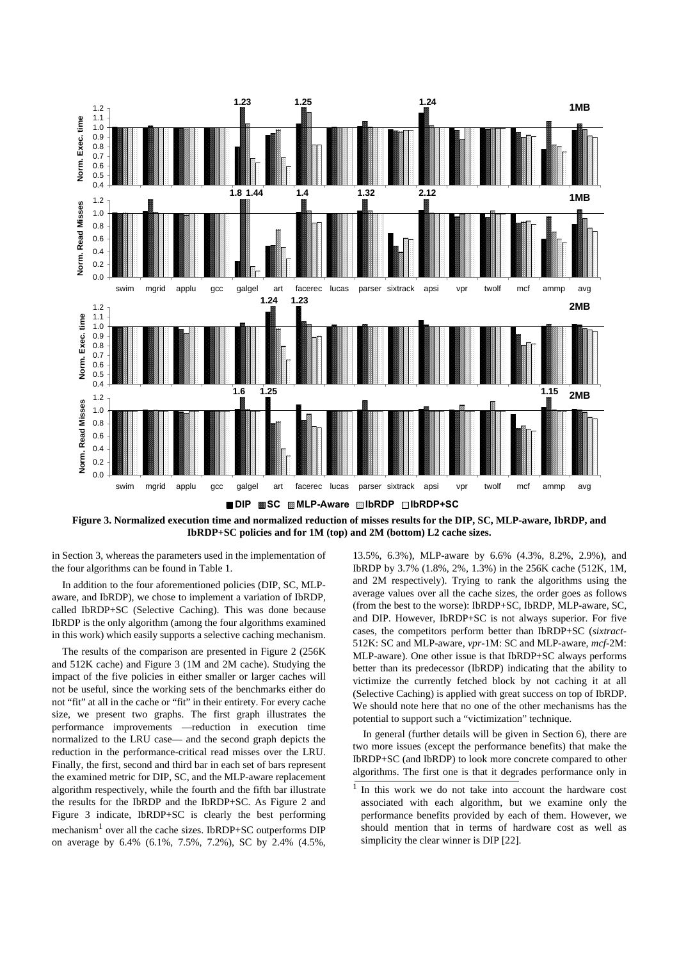

**Figure 3. Normalized execution time and normalized reduction of misses results for the DIP, SC, MLP-aware, IbRDP, and IbRDP+SC policies and for 1M (top) and 2M (bottom) L2 cache sizes.**

in Section 3, whereas the parameters used in the implementation of the four algorithms can be found in Table 1.

In addition to the four aforementioned policies (DIP, SC, MLPaware, and IbRDP), we chose to implement a variation of IbRDP, called IbRDP+SC (Selective Caching). This was done because IbRDP is the only algorithm (among the four algorithms examined in this work) which easily supports a selective caching mechanism.

The results of the comparison are presented in Figure 2 (256K and 512K cache) and Figure 3 (1M and 2M cache). Studying the impact of the five policies in either smaller or larger caches will not be useful, since the working sets of the benchmarks either do not "fit" at all in the cache or "fit" in their entirety. For every cache size, we present two graphs. The first graph illustrates the performance improvements —reduction in execution time normalized to the LRU case— and the second graph depicts the reduction in the performance-critical read misses over the LRU. Finally, the first, second and third bar in each set of bars represent the examined metric for DIP, SC, and the MLP-aware replacement algorithm respectively, while the fourth and the fifth bar illustrate the results for the IbRDP and the IbRDP+SC. As Figure 2 and Figure 3 indicate, IbRDP+SC is clearly the best performing mechanism<sup>1</sup> over all the cache sizes. IbRDP+SC outperforms DIP on average by 6.4% (6.1%, 7.5%, 7.2%), SC by 2.4% (4.5%,

13.5%, 6.3%), MLP-aware by 6.6% (4.3%, 8.2%, 2.9%), and IbRDP by 3.7% (1.8%, 2%, 1.3%) in the 256K cache (512K, 1M, and 2M respectively). Trying to rank the algorithms using the average values over all the cache sizes, the order goes as follows (from the best to the worse): IbRDP+SC, IbRDP, MLP-aware, SC, and DIP. However, IbRDP+SC is not always superior. For five cases, the competitors perform better than IbRDP+SC (*sixtract*-512K: SC and MLP-aware, *vpr*-1M: SC and MLP-aware, *mcf*-2M: MLP-aware). One other issue is that IbRDP+SC always performs better than its predecessor (IbRDP) indicating that the ability to victimize the currently fetched block by not caching it at all (Selective Caching) is applied with great success on top of IbRDP. We should note here that no one of the other mechanisms has the potential to support such a "victimization" technique.

In general (further details will be given in Section 6), there are two more issues (except the performance benefits) that make the IbRDP+SC (and IbRDP) to look more concrete compared to other algorithms. The first one is that it degrades performance only in

In this work we do not take into account the hardware cost associated with each algorithm, but we examine only the performance benefits provided by each of them. However, we should mention that in terms of hardware cost as well as simplicity the clear winner is DIP [22].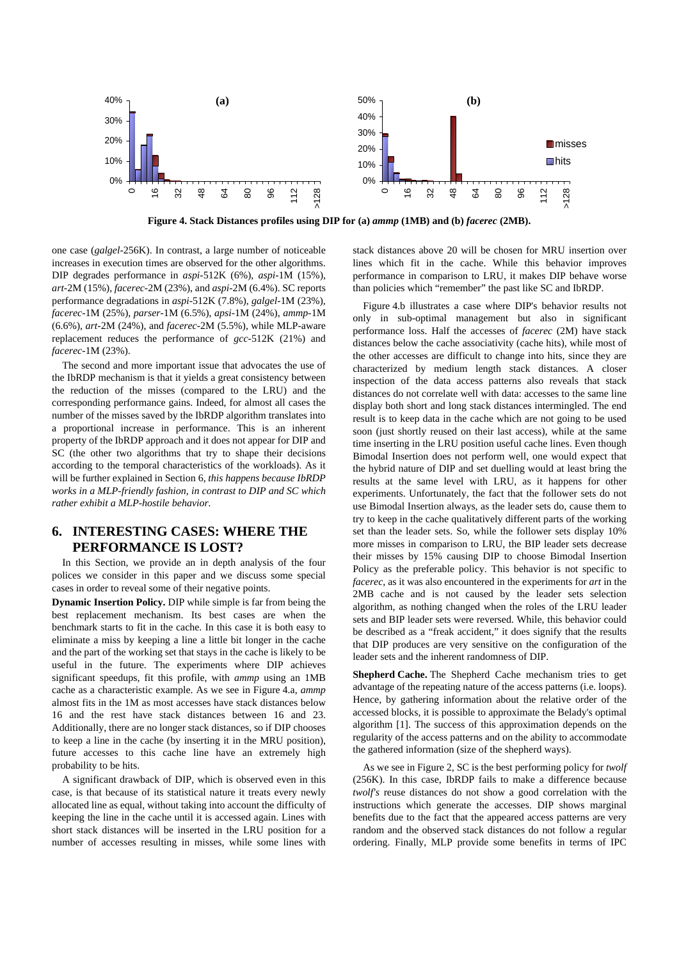

**Figure 4. Stack Distances profiles using DIP for (a)** *ammp* **(1MB) and (b)** *facerec* **(2MB).**

one case (*galgel*-256K). In contrast, a large number of noticeable increases in execution times are observed for the other algorithms. DIP degrades performance in *aspi-*512K (6%), *aspi-*1M (15%), *art-*2M (15%), *facerec-*2M (23%), and *aspi-*2M (6.4%). SC reports performance degradations in *aspi-*512K (7.8%), *galgel-*1M (23%), *facerec-*1M (25%), *parser-*1M (6.5%), *apsi-*1M (24%), *ammp-*1M (6.6%), *art-*2M (24%), and *facerec-*2M (5.5%), while MLP-aware replacement reduces the performance of *gcc-*512K (21%) and *facerec-*1M (23%).

The second and more important issue that advocates the use of the IbRDP mechanism is that it yields a great consistency between the reduction of the misses (compared to the LRU) and the corresponding performance gains. Indeed, for almost all cases the number of the misses saved by the IbRDP algorithm translates into a proportional increase in performance. This is an inherent property of the IbRDP approach and it does not appear for DIP and SC (the other two algorithms that try to shape their decisions according to the temporal characteristics of the workloads). As it will be further explained in Section 6, *this happens because IbRDP works in a MLP-friendly fashion, in contrast to DIP and SC which rather exhibit a MLP-hostile behavior.*

# **6. INTERESTING CASES: WHERE THE PERFORMANCE IS LOST?**

In this Section, we provide an in depth analysis of the four polices we consider in this paper and we discuss some special cases in order to reveal some of their negative points.

**Dynamic Insertion Policy.** DIP while simple is far from being the best replacement mechanism. Its best cases are when the benchmark starts to fit in the cache. In this case it is both easy to eliminate a miss by keeping a line a little bit longer in the cache and the part of the working set that stays in the cache is likely to be useful in the future. The experiments where DIP achieves significant speedups, fit this profile, with *ammp* using an 1MB cache as a characteristic example. As we see in Figure 4.a, *ammp* almost fits in the 1M as most accesses have stack distances below 16 and the rest have stack distances between 16 and 23. Additionally, there are no longer stack distances, so if DIP chooses to keep a line in the cache (by inserting it in the MRU position), future accesses to this cache line have an extremely high probability to be hits.

A significant drawback of DIP, which is observed even in this case, is that because of its statistical nature it treats every newly allocated line as equal, without taking into account the difficulty of keeping the line in the cache until it is accessed again. Lines with short stack distances will be inserted in the LRU position for a number of accesses resulting in misses, while some lines with

stack distances above 20 will be chosen for MRU insertion over lines which fit in the cache. While this behavior improves performance in comparison to LRU, it makes DIP behave worse than policies which "remember" the past like SC and IbRDP.

Figure 4.b illustrates a case where DIP's behavior results not only in sub-optimal management but also in significant performance loss. Half the accesses of *facerec* (2M) have stack distances below the cache associativity (cache hits), while most of the other accesses are difficult to change into hits, since they are characterized by medium length stack distances. A closer inspection of the data access patterns also reveals that stack distances do not correlate well with data: accesses to the same line display both short and long stack distances intermingled. The end result is to keep data in the cache which are not going to be used soon (just shortly reused on their last access), while at the same time inserting in the LRU position useful cache lines. Even though Bimodal Insertion does not perform well, one would expect that the hybrid nature of DIP and set duelling would at least bring the results at the same level with LRU, as it happens for other experiments. Unfortunately, the fact that the follower sets do not use Bimodal Insertion always, as the leader sets do, cause them to try to keep in the cache qualitatively different parts of the working set than the leader sets. So, while the follower sets display 10% more misses in comparison to LRU, the BIP leader sets decrease their misses by 15% causing DIP to choose Bimodal Insertion Policy as the preferable policy. This behavior is not specific to *facerec*, as it was also encountered in the experiments for *art* in the 2MB cache and is not caused by the leader sets selection algorithm, as nothing changed when the roles of the LRU leader sets and BIP leader sets were reversed. While, this behavior could be described as a "freak accident," it does signify that the results that DIP produces are very sensitive on the configuration of the leader sets and the inherent randomness of DIP.

**Shepherd Cache.** The Shepherd Cache mechanism tries to get advantage of the repeating nature of the access patterns (i.e. loops). Hence, by gathering information about the relative order of the accessed blocks, it is possible to approximate the Belady's optimal algorithm [1]. The success of this approximation depends on the regularity of the access patterns and on the ability to accommodate the gathered information (size of the shepherd ways).

As we see in Figure 2, SC is the best performing policy for *twolf* (256K). In this case, IbRDP fails to make a difference because *twolf's* reuse distances do not show a good correlation with the instructions which generate the accesses. DIP shows marginal benefits due to the fact that the appeared access patterns are very random and the observed stack distances do not follow a regular ordering. Finally, MLP provide some benefits in terms of IPC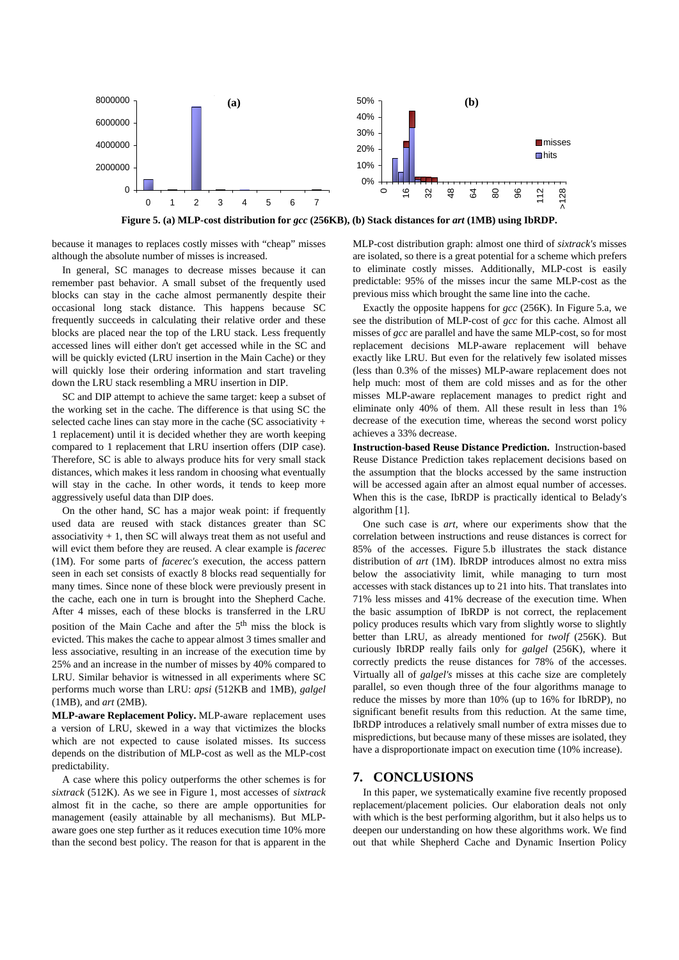

**Figure 5. (a) MLP-cost distribution for** *gcc* **(256KB), (b) Stack distances for** *art* **(1MB) using IbRDP.**

because it manages to replaces costly misses with "cheap" misses although the absolute number of misses is increased.

In general, SC manages to decrease misses because it can remember past behavior. A small subset of the frequently used blocks can stay in the cache almost permanently despite their occasional long stack distance. This happens because SC frequently succeeds in calculating their relative order and these blocks are placed near the top of the LRU stack. Less frequently accessed lines will either don't get accessed while in the SC and will be quickly evicted (LRU insertion in the Main Cache) or they will quickly lose their ordering information and start traveling down the LRU stack resembling a MRU insertion in DIP.

SC and DIP attempt to achieve the same target: keep a subset of the working set in the cache. The difference is that using SC the selected cache lines can stay more in the cache (SC associativity + 1 replacement) until it is decided whether they are worth keeping compared to 1 replacement that LRU insertion offers (DIP case). Therefore, SC is able to always produce hits for very small stack distances, which makes it less random in choosing what eventually will stay in the cache. In other words, it tends to keep more aggressively useful data than DIP does.

On the other hand, SC has a major weak point: if frequently used data are reused with stack distances greater than SC associativity  $+1$ , then SC will always treat them as not useful and will evict them before they are reused. A clear example is *facerec* (1M). For some parts of *facerec's* execution, the access pattern seen in each set consists of exactly 8 blocks read sequentially for many times. Since none of these block were previously present in the cache, each one in turn is brought into the Shepherd Cache. After 4 misses, each of these blocks is transferred in the LRU position of the Main Cache and after the 5<sup>th</sup> miss the block is evicted. This makes the cache to appear almost 3 times smaller and less associative, resulting in an increase of the execution time by 25% and an increase in the number of misses by 40% compared to LRU. Similar behavior is witnessed in all experiments where SC performs much worse than LRU: *apsi* (512KB and 1MB), *galgel* (1MB), and *art* (2MB).

**MLP-aware Replacement Policy.** MLP-aware replacement uses a version of LRU, skewed in a way that victimizes the blocks which are not expected to cause isolated misses. Its success depends on the distribution of MLP-cost as well as the MLP-cost predictability.

A case where this policy outperforms the other schemes is for *sixtrack* (512K). As we see in Figure 1, most accesses of *sixtrack* almost fit in the cache, so there are ample opportunities for management (easily attainable by all mechanisms). But MLPaware goes one step further as it reduces execution time 10% more than the second best policy. The reason for that is apparent in the

MLP-cost distribution graph: almost one third of *sixtrack's* misses are isolated, so there is a great potential for a scheme which prefers to eliminate costly misses. Additionally, MLP-cost is easily predictable: 95% of the misses incur the same MLP-cost as the previous miss which brought the same line into the cache.

Exactly the opposite happens for *gcc* (256K). In Figure 5.a, we see the distribution of MLP-cost of *gcc* for this cache. Almost all misses of *gcc* are parallel and have the same MLP-cost, so for most replacement decisions MLP-aware replacement will behave exactly like LRU. But even for the relatively few isolated misses (less than 0.3% of the misses) MLP-aware replacement does not help much: most of them are cold misses and as for the other misses MLP-aware replacement manages to predict right and eliminate only 40% of them. All these result in less than 1% decrease of the execution time, whereas the second worst policy achieves a 33% decrease.

**Instruction-based Reuse Distance Prediction.** Instruction-based Reuse Distance Prediction takes replacement decisions based on the assumption that the blocks accessed by the same instruction will be accessed again after an almost equal number of accesses. When this is the case, IbRDP is practically identical to Belady's algorithm [1].

One such case is *art*, where our experiments show that the correlation between instructions and reuse distances is correct for 85% of the accesses. Figure 5.b illustrates the stack distance distribution of *art* (1M). IbRDP introduces almost no extra miss below the associativity limit, while managing to turn most accesses with stack distances up to 21 into hits. That translates into 71% less misses and 41% decrease of the execution time. When the basic assumption of IbRDP is not correct, the replacement policy produces results which vary from slightly worse to slightly better than LRU, as already mentioned for *twolf* (256K). But curiously IbRDP really fails only for *galgel* (256K), where it correctly predicts the reuse distances for 78% of the accesses. Virtually all of *galgel's* misses at this cache size are completely parallel, so even though three of the four algorithms manage to reduce the misses by more than 10% (up to 16% for IbRDP), no significant benefit results from this reduction. At the same time, IbRDP introduces a relatively small number of extra misses due to mispredictions, but because many of these misses are isolated, they have a disproportionate impact on execution time (10% increase).

#### **7. CONCLUSIONS**

In this paper, we systematically examine five recently proposed replacement/placement policies. Our elaboration deals not only with which is the best performing algorithm, but it also helps us to deepen our understanding on how these algorithms work. We find out that while Shepherd Cache and Dynamic Insertion Policy